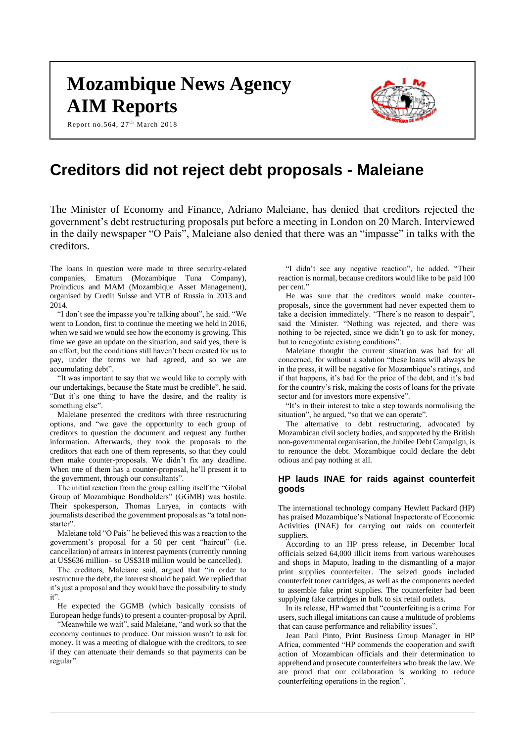# **Mozambique News Agency AIM Reports**

Report no.564,  $27<sup>th</sup>$  March 2018



# **Creditors did not reject debt proposals - Maleiane**

The Minister of Economy and Finance, Adriano Maleiane, has denied that creditors rejected the government's debt restructuring proposals put before a meeting in London on 20 March. Interviewed in the daily newspaper "O Pais", Maleiane also denied that there was an "impasse" in talks with the creditors.

The loans in question were made to three security-related companies, Ematum (Mozambique Tuna Company), Proindicus and MAM (Mozambique Asset Management), organised by Credit Suisse and VTB of Russia in 2013 and 2014.

"I don't see the impasse you're talking about", he said. "We went to London, first to continue the meeting we held in 2016, when we said we would see how the economy is growing. This time we gave an update on the situation, and said yes, there is an effort, but the conditions still haven't been created for us to pay, under the terms we had agreed, and so we are accumulating debt".

"It was important to say that we would like to comply with our undertakings, because the State must be credible", he said. "But it's one thing to have the desire, and the reality is something else".

Maleiane presented the creditors with three restructuring options, and "we gave the opportunity to each group of creditors to question the document and request any further information. Afterwards, they took the proposals to the creditors that each one of them represents, so that they could then make counter-proposals. We didn't fix any deadline. When one of them has a counter-proposal, he'll present it to the government, through our consultants".

The initial reaction from the group calling itself the "Global Group of Mozambique Bondholders" (GGMB) was hostile. Their spokesperson, Thomas Laryea, in contacts with journalists described the government proposals as "a total nonstarter".

Maleiane told "O Pais" he believed this was a reaction to the government's proposal for a 50 per cent "haircut" (i.e. cancellation) of arrears in interest payments (currently running at US\$636 million– so US\$318 million would be cancelled).

The creditors, Maleiane said, argued that "in order to restructure the debt, the interest should be paid. We replied that it's just a proposal and they would have the possibility to study it".

He expected the GGMB (which basically consists of European hedge funds) to present a counter-proposal by April.

"Meanwhile we wait", said Maleiane, "and work so that the economy continues to produce. Our mission wasn't to ask for money. It was a meeting of dialogue with the creditors, to see if they can attenuate their demands so that payments can be regular".

"I didn't see any negative reaction", he added. "Their reaction is normal, because creditors would like to be paid 100 per cent."

He was sure that the creditors would make counterproposals, since the government had never expected them to take a decision immediately. "There's no reason to despair", said the Minister. "Nothing was rejected, and there was nothing to be rejected, since we didn't go to ask for money, but to renegotiate existing conditions".

Maleiane thought the current situation was bad for all concerned, for without a solution "these loans will always be in the press, it will be negative for Mozambique's ratings, and if that happens, it's bad for the price of the debt, and it's bad for the country's risk, making the costs of loans for the private sector and for investors more expensive".

"It's in their interest to take a step towards normalising the situation", he argued, "so that we can operate".

The alternative to debt restructuring, advocated by Mozambican civil society bodies, and supported by the British non-governmental organisation, the Jubilee Debt Campaign, is to renounce the debt. Mozambique could declare the debt odious and pay nothing at all.

# **HP lauds INAE for raids against counterfeit goods**

The international technology company Hewlett Packard (HP) has praised Mozambique's National Inspectorate of Economic Activities (INAE) for carrying out raids on counterfeit suppliers.

According to an HP press release, in December local officials seized 64,000 illicit items from various warehouses and shops in Maputo, leading to the dismantling of a major print supplies counterfeiter. The seized goods included counterfeit toner cartridges, as well as the components needed to assemble fake print supplies. The counterfeiter had been supplying fake cartridges in bulk to six retail outlets.

In its release, HP warned that "counterfeiting is a crime. For users, such illegal imitations can cause a multitude of problems that can cause performance and reliability issues".

Jean Paul Pinto, Print Business Group Manager in HP Africa, commented "HP commends the cooperation and swift action of Mozambican officials and their determination to apprehend and prosecute counterfeiters who break the law. We are proud that our collaboration is working to reduce counterfeiting operations in the region".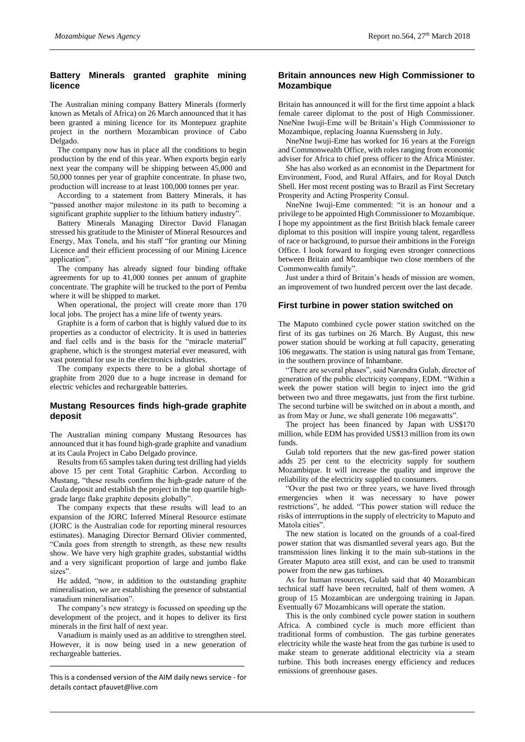# **Battery Minerals granted graphite mining licence**

The Australian mining company Battery Minerals (formerly known as Metals of Africa) on 26 March announced that it has been granted a mining licence for its Montepuez graphite project in the northern Mozambican province of Cabo Delgado.

The company now has in place all the conditions to begin production by the end of this year. When exports begin early next year the company will be shipping between 45,000 and 50,000 tonnes per year of graphite concentrate. In phase two, production will increase to at least 100,000 tonnes per year.

According to a statement from Battery Minerals, it has "passed another major milestone in its path to becoming a significant graphite supplier to the lithium battery industry".

Battery Minerals Managing Director David Flanagan stressed his gratitude to the Minister of Mineral Resources and Energy, Max Tonela, and his staff "for granting our Mining Licence and their efficient processing of our Mining Licence application".

The company has already signed four binding offtake agreements for up to 41,000 tonnes per annum of graphite concentrate. The graphite will be trucked to the port of Pemba where it will be shipped to market.

When operational, the project will create more than 170 local jobs. The project has a mine life of twenty years.

Graphite is a form of carbon that is highly valued due to its properties as a conductor of electricity. It is used in batteries and fuel cells and is the basis for the "miracle material" graphene, which is the strongest material ever measured, with vast potential for use in the electronics industries.

The company expects there to be a global shortage of graphite from 2020 due to a huge increase in demand for electric vehicles and rechargeable batteries.

# **Mustang Resources finds high-grade graphite deposit**

The Australian mining company Mustang Resources has announced that it has found high-grade graphite and vanadium at its Caula Project in Cabo Delgado province.

Results from 65 samples taken during test drilling had yields above 15 per cent Total Graphitic Carbon. According to Mustang, "these results confirm the high-grade nature of the Caula deposit and establish the project in the top quartile highgrade large flake graphite deposits globally".

The company expects that these results will lead to an expansion of the JORC Inferred Mineral Resource estimate (JORC is the Australian code for reporting mineral resources estimates). Managing Director Bernard Olivier commented, "Caula goes from strength to strength, as these new results show. We have very high graphite grades, substantial widths and a very significant proportion of large and jumbo flake sizes".

He added, "now, in addition to the outstanding graphite mineralisation, we are establishing the presence of substantial vanadium mineralisation".

The company's new strategy is focussed on speeding up the development of the project, and it hopes to deliver its first minerals in the first half of next year.

Vanadium is mainly used as an additive to strengthen steel. However, it is now being used in a new generation of rechargeable batteries.

This is a condensed version of the AIM daily news service - for details contac[t pfauvet@live.com](mailto:pfauvet@live.com)

**\_\_\_\_\_\_\_\_\_\_\_\_\_\_\_\_\_\_\_\_\_\_\_\_\_\_\_\_\_\_\_\_\_\_\_\_\_\_\_\_\_\_\_\_\_\_\_\_\_**

# **Britain announces new High Commissioner to Mozambique**

Britain has announced it will for the first time appoint a black female career diplomat to the post of High Commissioner. NneNne Iwuji-Eme will be Britain's High Commissioner to Mozambique, replacing Joanna Kuenssberg in July.

NneNne Iwuji-Eme has worked for 16 years at the Foreign and Commonwealth Office, with roles ranging from economic adviser for Africa to chief press officer to the Africa Minister.

She has also worked as an economist in the Department for Environment, Food, and Rural Affairs, and for Royal Dutch Shell. Her most recent posting was to Brazil as First Secretary Prosperity and Acting Prosperity Consul.

NneNne Iwuji-Eme commented: "it is an honour and a privilege to be appointed High Commissioner to Mozambique. I hope my appointment as the first British black female career diplomat to this position will inspire young talent, regardless of race or background, to pursue their ambitions in the Foreign Office. I look forward to forging even stronger connections between Britain and Mozambique two close members of the Commonwealth family".

Just under a third of Britain's heads of mission are women, an improvement of two hundred percent over the last decade.

# **First turbine in power station switched on**

The Maputo combined cycle power station switched on the first of its gas turbines on 26 March. By August, this new power station should be working at full capacity, generating 106 megawatts. The station is using natural gas from Temane, in the southern province of Inhambane.

"There are several phases", said Narendra Gulab, director of generation of the public electricity company, EDM. "Within a week the power station will begin to inject into the grid between two and three megawatts, just from the first turbine. The second turbine will be switched on in about a month, and as from May or June, we shall generate 106 megawatts".

The project has been financed by Japan with US\$170 million, while EDM has provided US\$13 million from its own funds.

Gulab told reporters that the new gas-fired power station adds 25 per cent to the electricity supply for southern Mozambique. It will increase the quality and improve the reliability of the electricity supplied to consumers.

"Over the past two or three years, we have lived through emergencies when it was necessary to have power restrictions", he added. "This power station will reduce the risks of interruptions in the supply of electricity to Maputo and Matola cities".

The new station is located on the grounds of a coal-fired power station that was dismantled several years ago. But the transmission lines linking it to the main sub-stations in the Greater Maputo area still exist, and can be used to transmit power from the new gas turbines.

As for human resources, Gulab said that 40 Mozambican technical staff have been recruited, half of them women. A group of 15 Mozambican are undergoing training in Japan. Eventually 67 Mozambicans will operate the station.

This is the only combined cycle power station in southern Africa. A combined cycle is much more efficient than traditional forms of combustion. The gas turbine generates electricity while the waste heat from the gas turbine is used to make steam to generate additional electricity via a steam turbine. This both increases energy efficiency and reduces emissions of greenhouse gases.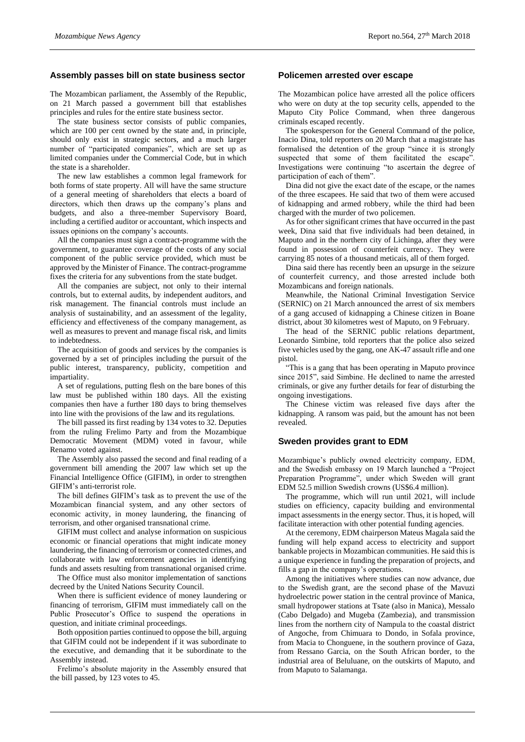#### **Assembly passes bill on state business sector**

The Mozambican parliament, the Assembly of the Republic, on 21 March passed a government bill that establishes principles and rules for the entire state business sector.

The state business sector consists of public companies, which are 100 per cent owned by the state and, in principle, should only exist in strategic sectors, and a much larger number of "participated companies", which are set up as limited companies under the Commercial Code, but in which the state is a shareholder.

The new law establishes a common legal framework for both forms of state property. All will have the same structure of a general meeting of shareholders that elects a board of directors, which then draws up the company's plans and budgets, and also a three-member Supervisory Board, including a certified auditor or accountant, which inspects and issues opinions on the company's accounts.

All the companies must sign a contract-programme with the government, to guarantee coverage of the costs of any social component of the public service provided, which must be approved by the Minister of Finance. The contract-programme fixes the criteria for any subventions from the state budget.

All the companies are subject, not only to their internal controls, but to external audits, by independent auditors, and risk management. The financial controls must include an analysis of sustainability, and an assessment of the legality, efficiency and effectiveness of the company management, as well as measures to prevent and manage fiscal risk, and limits to indebtedness.

The acquisition of goods and services by the companies is governed by a set of principles including the pursuit of the public interest, transparency, publicity, competition and impartiality.

A set of regulations, putting flesh on the bare bones of this law must be published within 180 days. All the existing companies then have a further 180 days to bring themselves into line with the provisions of the law and its regulations.

The bill passed its first reading by 134 votes to 32. Deputies from the ruling Frelimo Party and from the Mozambique Democratic Movement (MDM) voted in favour, while Renamo voted against.

The Assembly also passed the second and final reading of a government bill amending the 2007 law which set up the Financial Intelligence Office (GIFIM), in order to strengthen GIFIM's anti-terrorist role.

The bill defines GIFIM's task as to prevent the use of the Mozambican financial system, and any other sectors of economic activity, in money laundering, the financing of terrorism, and other organised transnational crime.

GIFIM must collect and analyse information on suspicious economic or financial operations that might indicate money laundering, the financing of terrorism or connected crimes, and collaborate with law enforcement agencies in identifying funds and assets resulting from transnational organised crime.

The Office must also monitor implementation of sanctions decreed by the United Nations Security Council.

When there is sufficient evidence of money laundering or financing of terrorism, GIFIM must immediately call on the Public Prosecutor's Office to suspend the operations in question, and initiate criminal proceedings.

Both opposition parties continued to oppose the bill, arguing that GIFIM could not be independent if it was subordinate to the executive, and demanding that it be subordinate to the Assembly instead.

Frelimo's absolute majority in the Assembly ensured that the bill passed, by 123 votes to 45.

#### **Policemen arrested over escape**

The Mozambican police have arrested all the police officers who were on duty at the top security cells, appended to the Maputo City Police Command, when three dangerous criminals escaped recently.

The spokesperson for the General Command of the police, Inacio Dina, told reporters on 20 March that a magistrate has formalised the detention of the group "since it is strongly suspected that some of them facilitated the escape" Investigations were continuing "to ascertain the degree of participation of each of them".

Dina did not give the exact date of the escape, or the names of the three escapees. He said that two of them were accused of kidnapping and armed robbery, while the third had been charged with the murder of two policemen.

As for other significant crimes that have occurred in the past week, Dina said that five individuals had been detained, in Maputo and in the northern city of Lichinga, after they were found in possession of counterfeit currency. They were carrying 85 notes of a thousand meticais, all of them forged.

Dina said there has recently been an upsurge in the seizure of counterfeit currency, and those arrested include both Mozambicans and foreign nationals.

Meanwhile, the National Criminal Investigation Service (SERNIC) on 21 March announced the arrest of six members of a gang accused of kidnapping a Chinese citizen in Boane district, about 30 kilometres west of Maputo, on 9 February.

The head of the SERNIC public relations department, Leonardo Simbine, told reporters that the police also seized five vehicles used by the gang, one AK-47 assault rifle and one pistol.

"This is a gang that has been operating in Maputo province since 2015", said Simbine. He declined to name the arrested criminals, or give any further details for fear of disturbing the ongoing investigations.

The Chinese victim was released five days after the kidnapping. A ransom was paid, but the amount has not been revealed.

#### **Sweden provides grant to EDM**

Mozambique's publicly owned electricity company, EDM, and the Swedish embassy on 19 March launched a "Project Preparation Programme", under which Sweden will grant EDM 52.5 million Swedish crowns (US\$6.4 million).

The programme, which will run until 2021, will include studies on efficiency, capacity building and environmental impact assessments in the energy sector. Thus, it is hoped, will facilitate interaction with other potential funding agencies.

At the ceremony, EDM chairperson Mateus Magala said the funding will help expand access to electricity and support bankable projects in Mozambican communities. He said this is a unique experience in funding the preparation of projects, and fills a gap in the company's operations.

Among the initiatives where studies can now advance, due to the Swedish grant, are the second phase of the Mavuzi hydroelectric power station in the central province of Manica, small hydropower stations at Tsate (also in Manica), Messalo (Cabo Delgado) and Mugeba (Zambezia), and transmission lines from the northern city of Nampula to the coastal district of Angoche, from Chimuara to Dondo, in Sofala province, from Macia to Chonguene, in the southern province of Gaza, from Ressano Garcia, on the South African border, to the industrial area of Beluluane, on the outskirts of Maputo, and from Maputo to Salamanga.